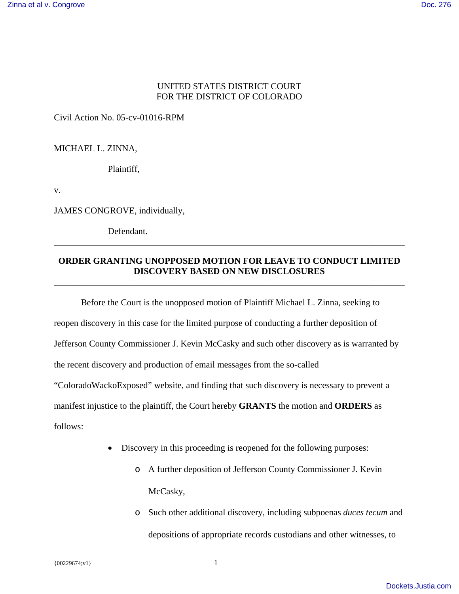## UNITED STATES DISTRICT COURT FOR THE DISTRICT OF COLORADO

Civil Action No. 05-cv-01016-RPM

MICHAEL L. ZINNA,

Plaintiff,

v.

JAMES CONGROVE, individually,

Defendant.

## **ORDER GRANTING UNOPPOSED MOTION FOR LEAVE TO CONDUCT LIMITED DISCOVERY BASED ON NEW DISCLOSURES**

\_\_\_\_\_\_\_\_\_\_\_\_\_\_\_\_\_\_\_\_\_\_\_\_\_\_\_\_\_\_\_\_\_\_\_\_\_\_\_\_\_\_\_\_\_\_\_\_\_\_\_\_\_\_\_\_\_\_\_\_\_\_\_\_\_\_\_\_\_\_\_\_\_\_\_\_\_\_

\_\_\_\_\_\_\_\_\_\_\_\_\_\_\_\_\_\_\_\_\_\_\_\_\_\_\_\_\_\_\_\_\_\_\_\_\_\_\_\_\_\_\_\_\_\_\_\_\_\_\_\_\_\_\_\_\_\_\_\_\_\_\_\_\_\_\_\_\_\_\_\_\_\_\_\_\_\_

Before the Court is the unopposed motion of Plaintiff Michael L. Zinna, seeking to reopen discovery in this case for the limited purpose of conducting a further deposition of Jefferson County Commissioner J. Kevin McCasky and such other discovery as is warranted by the recent discovery and production of email messages from the so-called "ColoradoWackoExposed" website, and finding that such discovery is necessary to prevent a manifest injustice to the plaintiff, the Court hereby **GRANTS** the motion and **ORDERS** as follows:

- Discovery in this proceeding is reopened for the following purposes:
	- o A further deposition of Jefferson County Commissioner J. Kevin McCasky,
	- o Such other additional discovery, including subpoenas *duces tecum* and depositions of appropriate records custodians and other witnesses, to